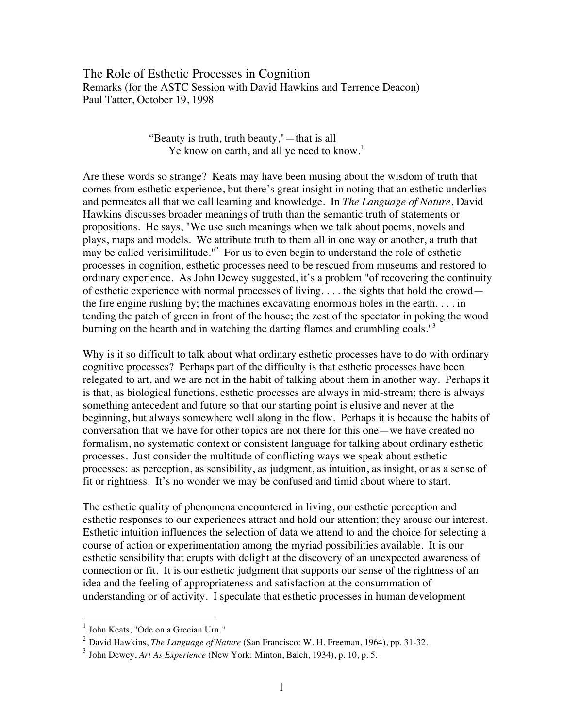## The Role of Esthetic Processes in Cognition Remarks (for the ASTC Session with David Hawkins and Terrence Deacon) Paul Tatter, October 19, 1998

"Beauty is truth, truth beauty,"—that is all Ye know on earth, and all ye need to know.<sup>1</sup>

Are these words so strange? Keats may have been musing about the wisdom of truth that comes from esthetic experience, but there's great insight in noting that an esthetic underlies and permeates all that we call learning and knowledge. In *The Language of Nature*, David Hawkins discusses broader meanings of truth than the semantic truth of statements or propositions. He says, "We use such meanings when we talk about poems, novels and plays, maps and models. We attribute truth to them all in one way or another, a truth that may be called verisimilitude."<sup>2</sup> For us to even begin to understand the role of esthetic processes in cognition, esthetic processes need to be rescued from museums and restored to ordinary experience. As John Dewey suggested, it's a problem "of recovering the continuity of esthetic experience with normal processes of living. . . . the sights that hold the crowd the fire engine rushing by; the machines excavating enormous holes in the earth. . . . in tending the patch of green in front of the house; the zest of the spectator in poking the wood burning on the hearth and in watching the darting flames and crumbling coals.<sup>13</sup>

Why is it so difficult to talk about what ordinary esthetic processes have to do with ordinary cognitive processes? Perhaps part of the difficulty is that esthetic processes have been relegated to art, and we are not in the habit of talking about them in another way. Perhaps it is that, as biological functions, esthetic processes are always in mid-stream; there is always something antecedent and future so that our starting point is elusive and never at the beginning, but always somewhere well along in the flow. Perhaps it is because the habits of conversation that we have for other topics are not there for this one—we have created no formalism, no systematic context or consistent language for talking about ordinary esthetic processes. Just consider the multitude of conflicting ways we speak about esthetic processes: as perception, as sensibility, as judgment, as intuition, as insight, or as a sense of fit or rightness. It's no wonder we may be confused and timid about where to start.

The esthetic quality of phenomena encountered in living, our esthetic perception and esthetic responses to our experiences attract and hold our attention; they arouse our interest. Esthetic intuition influences the selection of data we attend to and the choice for selecting a course of action or experimentation among the myriad possibilities available. It is our esthetic sensibility that erupts with delight at the discovery of an unexpected awareness of connection or fit. It is our esthetic judgment that supports our sense of the rightness of an idea and the feeling of appropriateness and satisfaction at the consummation of understanding or of activity. I speculate that esthetic processes in human development

 <sup>1</sup> John Keats, "Ode on a Grecian Urn.*"*

<sup>2</sup> David Hawkins, *The Language of Nature* (San Francisco: W. H. Freeman, 1964), pp. 31-32.

<sup>3</sup> John Dewey, *Art As Experience* (New York: Minton, Balch, 1934), p. 10, p. 5.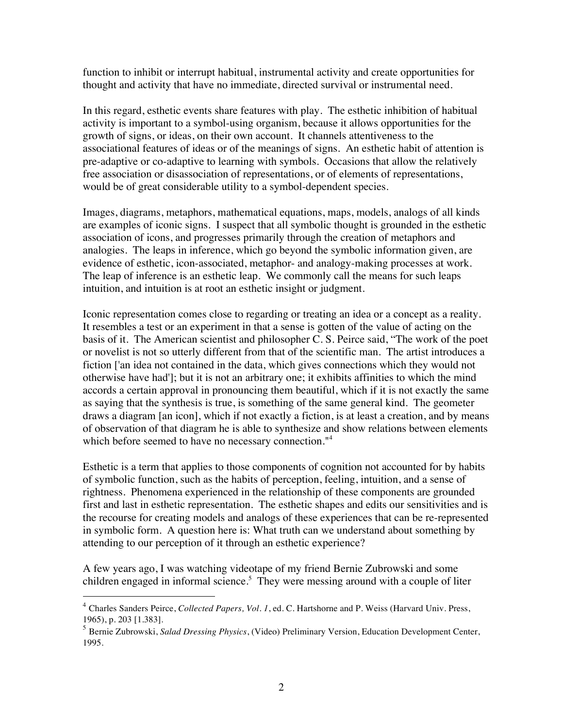function to inhibit or interrupt habitual, instrumental activity and create opportunities for thought and activity that have no immediate, directed survival or instrumental need.

In this regard, esthetic events share features with play. The esthetic inhibition of habitual activity is important to a symbol-using organism, because it allows opportunities for the growth of signs, or ideas, on their own account. It channels attentiveness to the associational features of ideas or of the meanings of signs. An esthetic habit of attention is pre-adaptive or co-adaptive to learning with symbols. Occasions that allow the relatively free association or disassociation of representations, or of elements of representations, would be of great considerable utility to a symbol-dependent species.

Images, diagrams, metaphors, mathematical equations, maps, models, analogs of all kinds are examples of iconic signs. I suspect that all symbolic thought is grounded in the esthetic association of icons, and progresses primarily through the creation of metaphors and analogies. The leaps in inference, which go beyond the symbolic information given, are evidence of esthetic, icon-associated, metaphor- and analogy-making processes at work. The leap of inference is an esthetic leap. We commonly call the means for such leaps intuition, and intuition is at root an esthetic insight or judgment.

Iconic representation comes close to regarding or treating an idea or a concept as a reality. It resembles a test or an experiment in that a sense is gotten of the value of acting on the basis of it. The American scientist and philosopher C. S. Peirce said, "The work of the poet or novelist is not so utterly different from that of the scientific man. The artist introduces a fiction ['an idea not contained in the data, which gives connections which they would not otherwise have had']; but it is not an arbitrary one; it exhibits affinities to which the mind accords a certain approval in pronouncing them beautiful, which if it is not exactly the same as saying that the synthesis is true, is something of the same general kind. The geometer draws a diagram [an icon], which if not exactly a fiction, is at least a creation, and by means of observation of that diagram he is able to synthesize and show relations between elements which before seemed to have no necessary connection."<sup>4</sup>

Esthetic is a term that applies to those components of cognition not accounted for by habits of symbolic function, such as the habits of perception, feeling, intuition, and a sense of rightness. Phenomena experienced in the relationship of these components are grounded first and last in esthetic representation. The esthetic shapes and edits our sensitivities and is the recourse for creating models and analogs of these experiences that can be re-represented in symbolic form. A question here is: What truth can we understand about something by attending to our perception of it through an esthetic experience?

A few years ago, I was watching videotape of my friend Bernie Zubrowski and some children engaged in informal science.<sup>5</sup> They were messing around with a couple of liter

 <sup>4</sup> Charles Sanders Peirce, *Collected Papers, Vol. 1*, ed. C. Hartshorne and P. Weiss (Harvard Univ. Press, 1965), p. 203 [1.383].

<sup>5</sup> Bernie Zubrowski, *Salad Dressing Physics*, (Video) Preliminary Version, Education Development Center, 1995.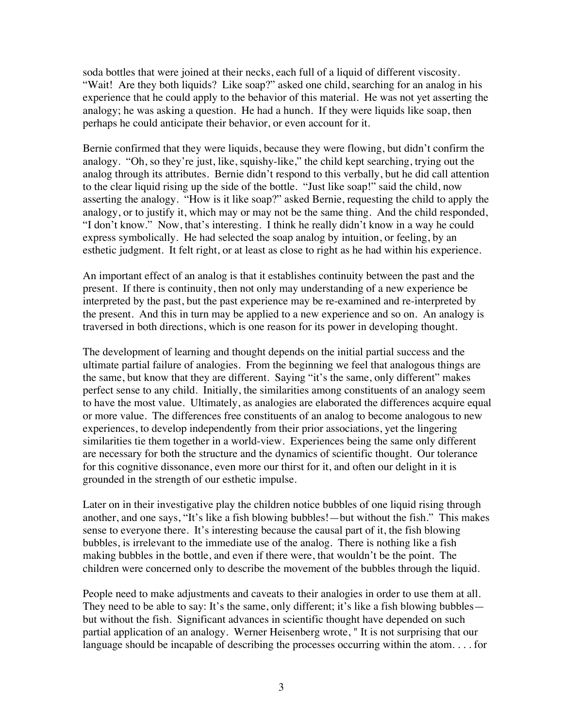soda bottles that were joined at their necks, each full of a liquid of different viscosity. "Wait! Are they both liquids? Like soap?" asked one child, searching for an analog in his experience that he could apply to the behavior of this material. He was not yet asserting the analogy; he was asking a question. He had a hunch. If they were liquids like soap, then perhaps he could anticipate their behavior, or even account for it.

Bernie confirmed that they were liquids, because they were flowing, but didn't confirm the analogy. "Oh, so they're just, like, squishy-like," the child kept searching, trying out the analog through its attributes. Bernie didn't respond to this verbally, but he did call attention to the clear liquid rising up the side of the bottle. "Just like soap!" said the child, now asserting the analogy. "How is it like soap?" asked Bernie, requesting the child to apply the analogy, or to justify it, which may or may not be the same thing. And the child responded, "I don't know." Now, that's interesting. I think he really didn't know in a way he could express symbolically. He had selected the soap analog by intuition, or feeling, by an esthetic judgment. It felt right, or at least as close to right as he had within his experience.

An important effect of an analog is that it establishes continuity between the past and the present. If there is continuity, then not only may understanding of a new experience be interpreted by the past, but the past experience may be re-examined and re-interpreted by the present. And this in turn may be applied to a new experience and so on. An analogy is traversed in both directions, which is one reason for its power in developing thought.

The development of learning and thought depends on the initial partial success and the ultimate partial failure of analogies. From the beginning we feel that analogous things are the same, but know that they are different. Saying "it's the same, only different" makes perfect sense to any child. Initially, the similarities among constituents of an analogy seem to have the most value. Ultimately, as analogies are elaborated the differences acquire equal or more value. The differences free constituents of an analog to become analogous to new experiences, to develop independently from their prior associations, yet the lingering similarities tie them together in a world-view. Experiences being the same only different are necessary for both the structure and the dynamics of scientific thought. Our tolerance for this cognitive dissonance, even more our thirst for it, and often our delight in it is grounded in the strength of our esthetic impulse.

Later on in their investigative play the children notice bubbles of one liquid rising through another, and one says, "It's like a fish blowing bubbles!—but without the fish." This makes sense to everyone there. It's interesting because the causal part of it, the fish blowing bubbles, is irrelevant to the immediate use of the analog. There is nothing like a fish making bubbles in the bottle, and even if there were, that wouldn't be the point. The children were concerned only to describe the movement of the bubbles through the liquid.

People need to make adjustments and caveats to their analogies in order to use them at all. They need to be able to say: It's the same, only different; it's like a fish blowing bubbles but without the fish. Significant advances in scientific thought have depended on such partial application of an analogy. Werner Heisenberg wrote, " It is not surprising that our language should be incapable of describing the processes occurring within the atom. . . . for